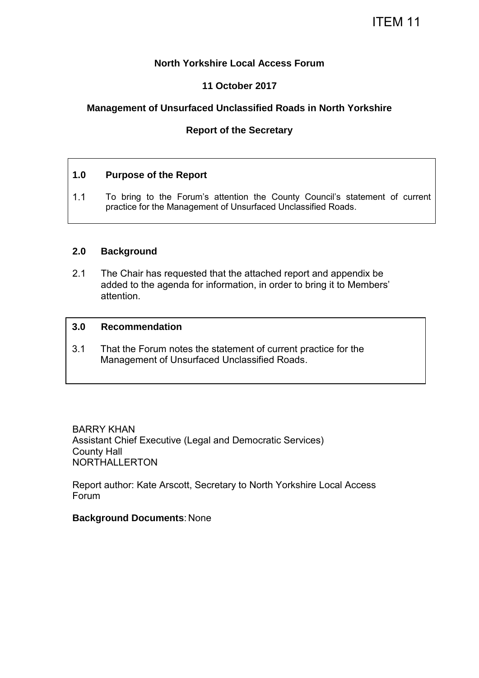#### **North Yorkshire Local Access Forum**

# **11 October 2017**

#### **Management of Unsurfaced Unclassified Roads in North Yorkshire**

#### **Report of the Secretary**

#### **1.0 Purpose of the Report**

1.1 To bring to the Forum's attention the County Council's statement of current practice for the Management of Unsurfaced Unclassified Roads.

#### **2.0 Background**

2.1 The Chair has requested that the attached report and appendix be added to the agenda for information, in order to bring it to Members' attention.

#### **3.0 Recommendation**

3.1 That the Forum notes the statement of current practice for the Management of Unsurfaced Unclassified Roads.

BARRY KHAN Assistant Chief Executive (Legal and Democratic Services) County Hall NORTHALLERTON

Report author: Kate Arscott, Secretary to North Yorkshire Local Access Forum

**Background Documents**: None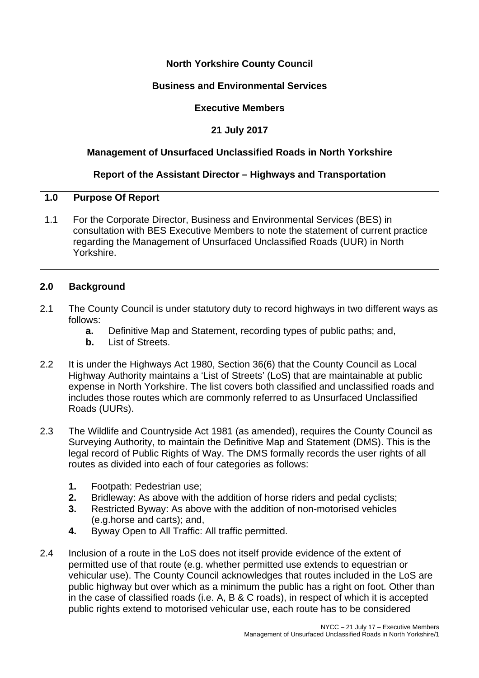# **North Yorkshire County Council**

# **Business and Environmental Services**

# **Executive Members**

# **21 July 2017**

# **Management of Unsurfaced Unclassified Roads in North Yorkshire**

#### **Report of the Assistant Director – Highways and Transportation**

#### **1.0 Purpose Of Report**

1.1 For the Corporate Director, Business and Environmental Services (BES) in consultation with BES Executive Members to note the statement of current practice regarding the Management of Unsurfaced Unclassified Roads (UUR) in North Yorkshire.

#### **2.0 Background**

- 2.1 The County Council is under statutory duty to record highways in two different ways as follows:
	- **a.** Definitive Map and Statement, recording types of public paths; and,
	- **b.** List of Streets.
- 2.2 It is under the Highways Act 1980, Section 36(6) that the County Council as Local Highway Authority maintains a 'List of Streets' (LoS) that are maintainable at public expense in North Yorkshire. The list covers both classified and unclassified roads and includes those routes which are commonly referred to as Unsurfaced Unclassified Roads (UURs).
- 2.3 The Wildlife and Countryside Act 1981 (as amended), requires the County Council as Surveying Authority, to maintain the Definitive Map and Statement (DMS). This is the legal record of Public Rights of Way. The DMS formally records the user rights of all routes as divided into each of four categories as follows:
	- **1.** Footpath: Pedestrian use;
	- **2.** Bridleway: As above with the addition of horse riders and pedal cyclists;
	- **3.** Restricted Byway: As above with the addition of non-motorised vehicles (e.g.horse and carts); and,
	- **4.** Byway Open to All Traffic: All traffic permitted.
- 2.4 Inclusion of a route in the LoS does not itself provide evidence of the extent of permitted use of that route (e.g. whether permitted use extends to equestrian or vehicular use). The County Council acknowledges that routes included in the LoS are public highway but over which as a minimum the public has a right on foot. Other than in the case of classified roads (i.e. A, B & C roads), in respect of which it is accepted public rights extend to motorised vehicular use, each route has to be considered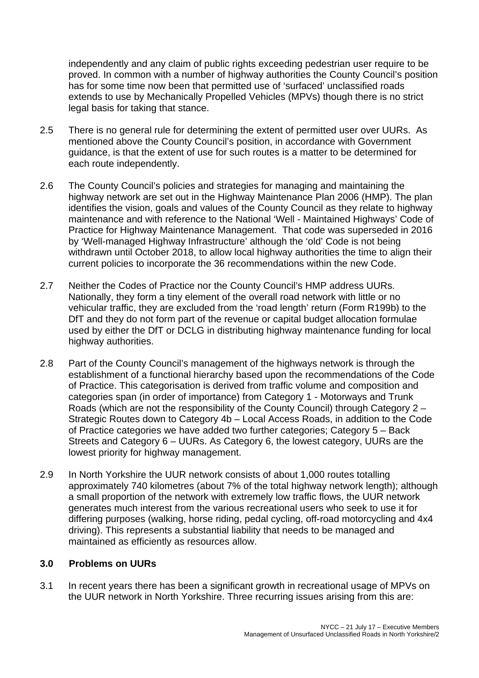independently and any claim of public rights exceeding pedestrian user require to be proved. In common with a number of highway authorities the County Council's position has for some time now been that permitted use of 'surfaced' unclassified roads extends to use by Mechanically Propelled Vehicles (MPVs) though there is no strict legal basis for taking that stance.

- 2.5 There is no general rule for determining the extent of permitted user over UURs. As mentioned above the County Council's position, in accordance with Government guidance, is that the extent of use for such routes is a matter to be determined for each route independently.
- 2.6 The County Council's policies and strategies for managing and maintaining the highway network are set out in the Highway Maintenance Plan 2006 (HMP). The plan identifies the vision, goals and values of the County Council as they relate to highway maintenance and with reference to the National 'Well - Maintained Highways' Code of Practice for Highway Maintenance Management. That code was superseded in 2016 by 'Well-managed Highway Infrastructure' although the 'old' Code is not being withdrawn until October 2018, to allow local highway authorities the time to align their current policies to incorporate the 36 recommendations within the new Code.
- 2.7 Neither the Codes of Practice nor the County Council's HMP address UURs. Nationally, they form a tiny element of the overall road network with little or no vehicular traffic, they are excluded from the 'road length' return (Form R199b) to the DfT and they do not form part of the revenue or capital budget allocation formulae used by either the DfT or DCLG in distributing highway maintenance funding for local highway authorities.
- 2.8 Part of the County Council's management of the highways network is through the establishment of a functional hierarchy based upon the recommendations of the Code of Practice. This categorisation is derived from traffic volume and composition and categories span (in order of importance) from Category 1 - Motorways and Trunk Roads (which are not the responsibility of the County Council) through Category 2 – Strategic Routes down to Category 4b – Local Access Roads, in addition to the Code of Practice categories we have added two further categories; Category 5 – Back Streets and Category 6 – UURs. As Category 6, the lowest category, UURs are the lowest priority for highway management.
- 2.9 In North Yorkshire the UUR network consists of about 1,000 routes totalling approximately 740 kilometres (about 7% of the total highway network length); although a small proportion of the network with extremely low traffic flows, the UUR network generates much interest from the various recreational users who seek to use it for differing purposes (walking, horse riding, pedal cycling, off-road motorcycling and 4x4 driving). This represents a substantial liability that needs to be managed and maintained as efficiently as resources allow.

#### **3.0 Problems on UURs**

3.1 In recent years there has been a significant growth in recreational usage of MPVs on the UUR network in North Yorkshire. Three recurring issues arising from this are: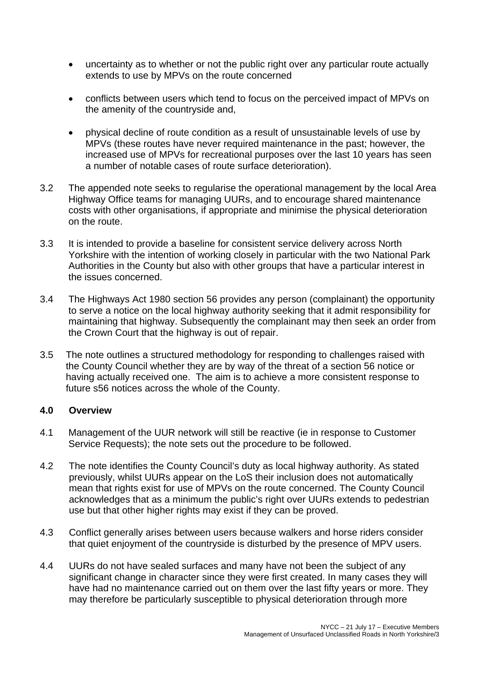- uncertainty as to whether or not the public right over any particular route actually extends to use by MPVs on the route concerned
- conflicts between users which tend to focus on the perceived impact of MPVs on the amenity of the countryside and,
- physical decline of route condition as a result of unsustainable levels of use by MPVs (these routes have never required maintenance in the past; however, the increased use of MPVs for recreational purposes over the last 10 years has seen a number of notable cases of route surface deterioration).
- 3.2 The appended note seeks to regularise the operational management by the local Area Highway Office teams for managing UURs, and to encourage shared maintenance costs with other organisations, if appropriate and minimise the physical deterioration on the route.
- 3.3 It is intended to provide a baseline for consistent service delivery across North Yorkshire with the intention of working closely in particular with the two National Park Authorities in the County but also with other groups that have a particular interest in the issues concerned.
- 3.4 The Highways Act 1980 section 56 provides any person (complainant) the opportunity to serve a notice on the local highway authority seeking that it admit responsibility for maintaining that highway. Subsequently the complainant may then seek an order from the Crown Court that the highway is out of repair.
- 3.5 The note outlines a structured methodology for responding to challenges raised with the County Council whether they are by way of the threat of a section 56 notice or having actually received one. The aim is to achieve a more consistent response to future s56 notices across the whole of the County.

#### **4.0 Overview**

- 4.1 Management of the UUR network will still be reactive (ie in response to Customer Service Requests); the note sets out the procedure to be followed.
- 4.2 The note identifies the County Council's duty as local highway authority. As stated previously, whilst UURs appear on the LoS their inclusion does not automatically mean that rights exist for use of MPVs on the route concerned. The County Council acknowledges that as a minimum the public's right over UURs extends to pedestrian use but that other higher rights may exist if they can be proved.
- 4.3 Conflict generally arises between users because walkers and horse riders consider that quiet enjoyment of the countryside is disturbed by the presence of MPV users.
- 4.4 UURs do not have sealed surfaces and many have not been the subject of any significant change in character since they were first created. In many cases they will have had no maintenance carried out on them over the last fifty years or more. They may therefore be particularly susceptible to physical deterioration through more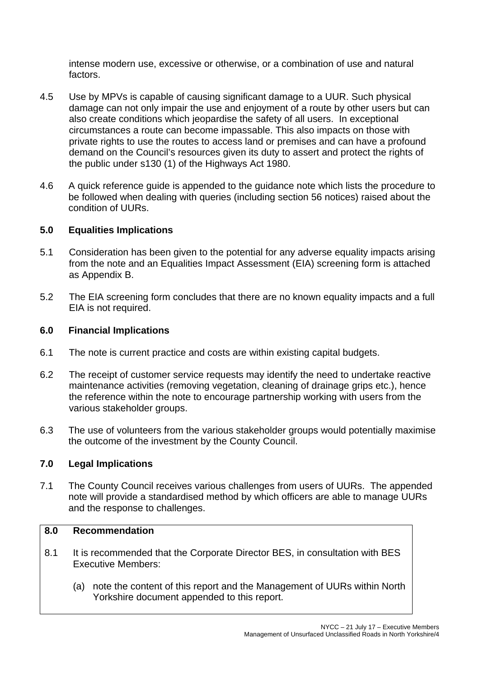intense modern use, excessive or otherwise, or a combination of use and natural factors.

- 4.5 Use by MPVs is capable of causing significant damage to a UUR. Such physical damage can not only impair the use and enjoyment of a route by other users but can also create conditions which jeopardise the safety of all users. In exceptional circumstances a route can become impassable. This also impacts on those with private rights to use the routes to access land or premises and can have a profound demand on the Council's resources given its duty to assert and protect the rights of the public under s130 (1) of the Highways Act 1980.
- 4.6 A quick reference guide is appended to the guidance note which lists the procedure to be followed when dealing with queries (including section 56 notices) raised about the condition of UURs.

#### **5.0 Equalities Implications**

- 5.1 Consideration has been given to the potential for any adverse equality impacts arising from the note and an Equalities Impact Assessment (EIA) screening form is attached as Appendix B.
- 5.2 The EIA screening form concludes that there are no known equality impacts and a full EIA is not required.

#### **6.0 Financial Implications**

- 6.1 The note is current practice and costs are within existing capital budgets.
- 6.2 The receipt of customer service requests may identify the need to undertake reactive maintenance activities (removing vegetation, cleaning of drainage grips etc.), hence the reference within the note to encourage partnership working with users from the various stakeholder groups.
- 6.3 The use of volunteers from the various stakeholder groups would potentially maximise the outcome of the investment by the County Council.

# **7.0 Legal Implications**

7.1 The County Council receives various challenges from users of UURs. The appended note will provide a standardised method by which officers are able to manage UURs and the response to challenges.

#### **8.0 Recommendation**

- 8.1 It is recommended that the Corporate Director BES, in consultation with BES Executive Members:
	- (a) note the content of this report and the Management of UURs within North Yorkshire document appended to this report.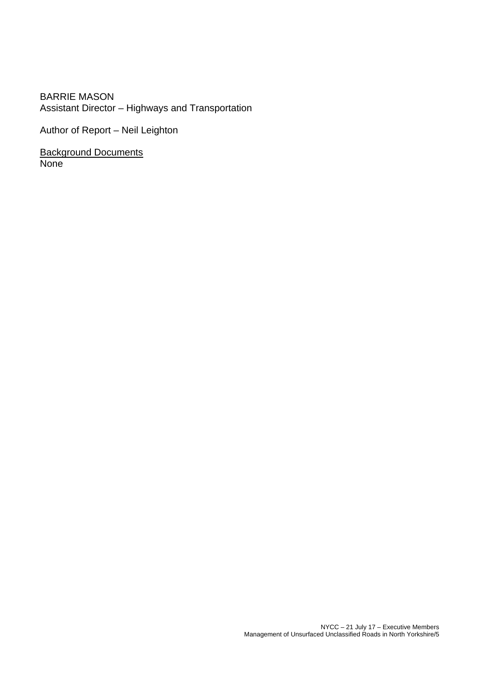BARRIE MASON Assistant Director – Highways and Transportation

Author of Report – Neil Leighton

**Background Documents** None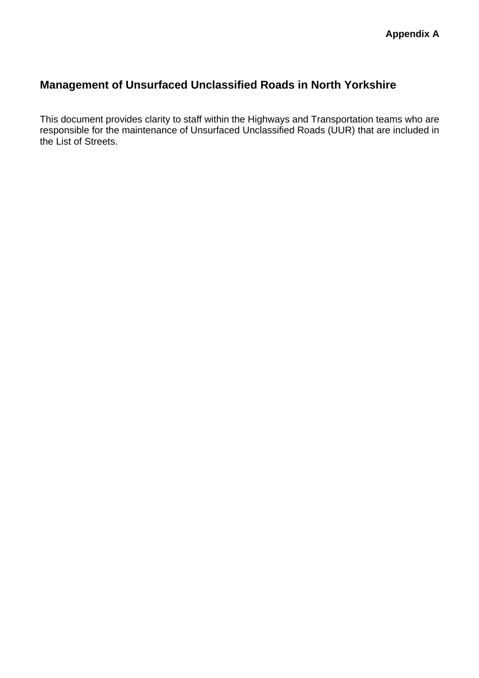# **Management of Unsurfaced Unclassified Roads in North Yorkshire**

This document provides clarity to staff within the Highways and Transportation teams who are responsible for the maintenance of Unsurfaced Unclassified Roads (UUR) that are included in the List of Streets.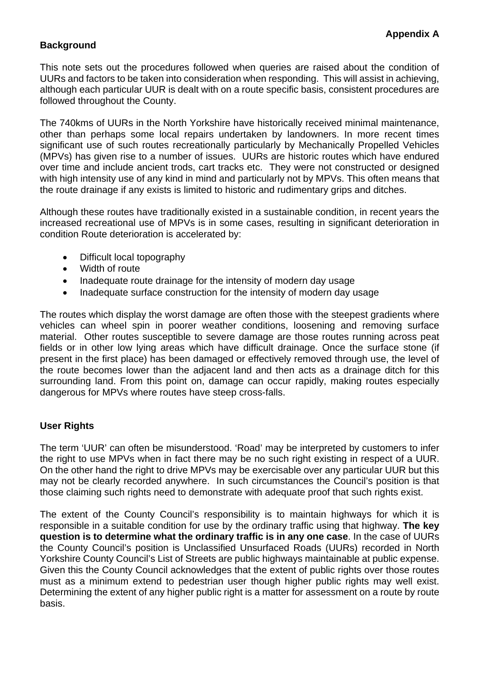# **Background**

This note sets out the procedures followed when queries are raised about the condition of UURs and factors to be taken into consideration when responding. This will assist in achieving, although each particular UUR is dealt with on a route specific basis, consistent procedures are followed throughout the County.

The 740kms of UURs in the North Yorkshire have historically received minimal maintenance, other than perhaps some local repairs undertaken by landowners. In more recent times significant use of such routes recreationally particularly by Mechanically Propelled Vehicles (MPVs) has given rise to a number of issues. UURs are historic routes which have endured over time and include ancient trods, cart tracks etc. They were not constructed or designed with high intensity use of any kind in mind and particularly not by MPVs. This often means that the route drainage if any exists is limited to historic and rudimentary grips and ditches.

Although these routes have traditionally existed in a sustainable condition, in recent years the increased recreational use of MPVs is in some cases, resulting in significant deterioration in condition Route deterioration is accelerated by:

- Difficult local topography
- Width of route
- Inadequate route drainage for the intensity of modern day usage
- Inadequate surface construction for the intensity of modern day usage

The routes which display the worst damage are often those with the steepest gradients where vehicles can wheel spin in poorer weather conditions, loosening and removing surface material. Other routes susceptible to severe damage are those routes running across peat fields or in other low lying areas which have difficult drainage. Once the surface stone (if present in the first place) has been damaged or effectively removed through use, the level of the route becomes lower than the adjacent land and then acts as a drainage ditch for this surrounding land. From this point on, damage can occur rapidly, making routes especially dangerous for MPVs where routes have steep cross-falls.

# **User Rights**

The term 'UUR' can often be misunderstood. 'Road' may be interpreted by customers to infer the right to use MPVs when in fact there may be no such right existing in respect of a UUR. On the other hand the right to drive MPVs may be exercisable over any particular UUR but this may not be clearly recorded anywhere. In such circumstances the Council's position is that those claiming such rights need to demonstrate with adequate proof that such rights exist.

The extent of the County Council's responsibility is to maintain highways for which it is responsible in a suitable condition for use by the ordinary traffic using that highway. **The key question is to determine what the ordinary traffic is in any one case**. In the case of UURs the County Council's position is Unclassified Unsurfaced Roads (UURs) recorded in North Yorkshire County Council's List of Streets are public highways maintainable at public expense. Given this the County Council acknowledges that the extent of public rights over those routes must as a minimum extend to pedestrian user though higher public rights may well exist. Determining the extent of any higher public right is a matter for assessment on a route by route basis.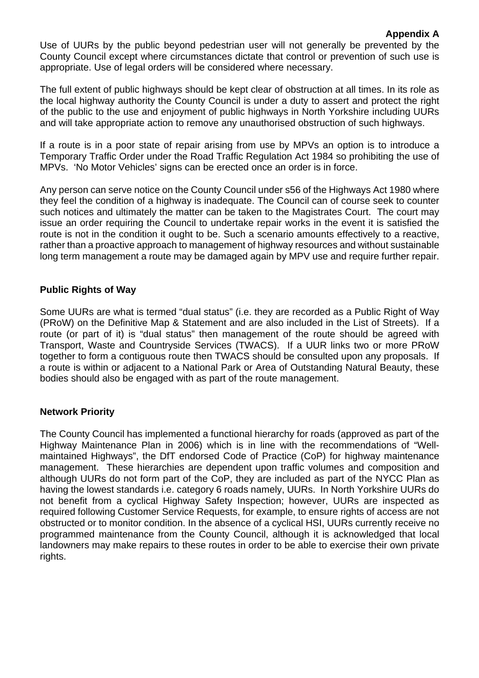#### **Appendix A**

Use of UURs by the public beyond pedestrian user will not generally be prevented by the County Council except where circumstances dictate that control or prevention of such use is appropriate. Use of legal orders will be considered where necessary.

The full extent of public highways should be kept clear of obstruction at all times. In its role as the local highway authority the County Council is under a duty to assert and protect the right of the public to the use and enjoyment of public highways in North Yorkshire including UURs and will take appropriate action to remove any unauthorised obstruction of such highways.

If a route is in a poor state of repair arising from use by MPVs an option is to introduce a Temporary Traffic Order under the Road Traffic Regulation Act 1984 so prohibiting the use of MPVs. 'No Motor Vehicles' signs can be erected once an order is in force.

Any person can serve notice on the County Council under s56 of the Highways Act 1980 where they feel the condition of a highway is inadequate. The Council can of course seek to counter such notices and ultimately the matter can be taken to the Magistrates Court. The court may issue an order requiring the Council to undertake repair works in the event it is satisfied the route is not in the condition it ought to be. Such a scenario amounts effectively to a reactive, rather than a proactive approach to management of highway resources and without sustainable long term management a route may be damaged again by MPV use and require further repair.

#### **Public Rights of Way**

Some UURs are what is termed "dual status" (i.e. they are recorded as a Public Right of Way (PRoW) on the Definitive Map & Statement and are also included in the List of Streets). If a route (or part of it) is "dual status" then management of the route should be agreed with Transport, Waste and Countryside Services (TWACS). If a UUR links two or more PRoW together to form a contiguous route then TWACS should be consulted upon any proposals. If a route is within or adjacent to a National Park or Area of Outstanding Natural Beauty, these bodies should also be engaged with as part of the route management.

# **Network Priority**

The County Council has implemented a functional hierarchy for roads (approved as part of the Highway Maintenance Plan in 2006) which is in line with the recommendations of "Wellmaintained Highways", the DfT endorsed Code of Practice (CoP) for highway maintenance management. These hierarchies are dependent upon traffic volumes and composition and although UURs do not form part of the CoP, they are included as part of the NYCC Plan as having the lowest standards i.e. category 6 roads namely, UURs. In North Yorkshire UURs do not benefit from a cyclical Highway Safety Inspection; however, UURs are inspected as required following Customer Service Requests, for example, to ensure rights of access are not obstructed or to monitor condition. In the absence of a cyclical HSI, UURs currently receive no programmed maintenance from the County Council, although it is acknowledged that local landowners may make repairs to these routes in order to be able to exercise their own private rights.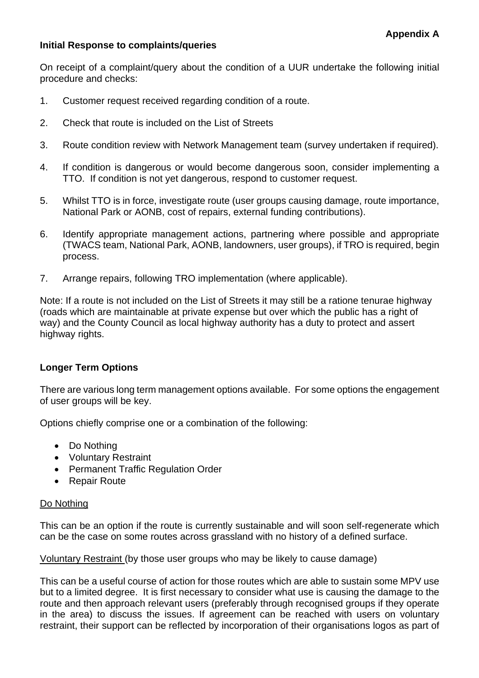#### **Initial Response to complaints/queries**

On receipt of a complaint/query about the condition of a UUR undertake the following initial procedure and checks:

- 1. Customer request received regarding condition of a route.
- 2. Check that route is included on the List of Streets
- 3. Route condition review with Network Management team (survey undertaken if required).
- 4. If condition is dangerous or would become dangerous soon, consider implementing a TTO. If condition is not yet dangerous, respond to customer request.
- 5. Whilst TTO is in force, investigate route (user groups causing damage, route importance, National Park or AONB, cost of repairs, external funding contributions).
- 6. Identify appropriate management actions, partnering where possible and appropriate (TWACS team, National Park, AONB, landowners, user groups), if TRO is required, begin process.
- 7. Arrange repairs, following TRO implementation (where applicable).

Note: If a route is not included on the List of Streets it may still be a ratione tenurae highway (roads which are maintainable at private expense but over which the public has a right of way) and the County Council as local highway authority has a duty to protect and assert highway rights.

#### **Longer Term Options**

There are various long term management options available. For some options the engagement of user groups will be key.

Options chiefly comprise one or a combination of the following:

- Do Nothing
- Voluntary Restraint
- Permanent Traffic Regulation Order
- Repair Route

#### Do Nothing

This can be an option if the route is currently sustainable and will soon self-regenerate which can be the case on some routes across grassland with no history of a defined surface.

Voluntary Restraint (by those user groups who may be likely to cause damage)

This can be a useful course of action for those routes which are able to sustain some MPV use but to a limited degree. It is first necessary to consider what use is causing the damage to the route and then approach relevant users (preferably through recognised groups if they operate in the area) to discuss the issues. If agreement can be reached with users on voluntary restraint, their support can be reflected by incorporation of their organisations logos as part of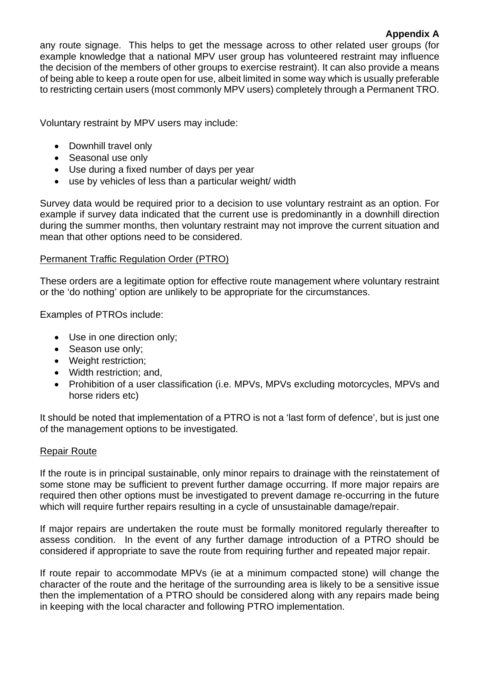# **Appendix A**

any route signage. This helps to get the message across to other related user groups (for example knowledge that a national MPV user group has volunteered restraint may influence the decision of the members of other groups to exercise restraint). It can also provide a means of being able to keep a route open for use, albeit limited in some way which is usually preferable to restricting certain users (most commonly MPV users) completely through a Permanent TRO.

Voluntary restraint by MPV users may include:

- Downhill travel only
- Seasonal use only
- Use during a fixed number of days per year
- use by vehicles of less than a particular weight/ width

Survey data would be required prior to a decision to use voluntary restraint as an option. For example if survey data indicated that the current use is predominantly in a downhill direction during the summer months, then voluntary restraint may not improve the current situation and mean that other options need to be considered.

#### Permanent Traffic Regulation Order (PTRO)

These orders are a legitimate option for effective route management where voluntary restraint or the 'do nothing' option are unlikely to be appropriate for the circumstances.

Examples of PTROs include:

- Use in one direction only;
- Season use only;
- Weight restriction:
- Width restriction: and.
- Prohibition of a user classification (i.e. MPVs, MPVs excluding motorcycles, MPVs and horse riders etc)

It should be noted that implementation of a PTRO is not a 'last form of defence', but is just one of the management options to be investigated.

# Repair Route

If the route is in principal sustainable, only minor repairs to drainage with the reinstatement of some stone may be sufficient to prevent further damage occurring. If more major repairs are required then other options must be investigated to prevent damage re-occurring in the future which will require further repairs resulting in a cycle of unsustainable damage/repair.

If major repairs are undertaken the route must be formally monitored regularly thereafter to assess condition. In the event of any further damage introduction of a PTRO should be considered if appropriate to save the route from requiring further and repeated major repair.

If route repair to accommodate MPVs (ie at a minimum compacted stone) will change the character of the route and the heritage of the surrounding area is likely to be a sensitive issue then the implementation of a PTRO should be considered along with any repairs made being in keeping with the local character and following PTRO implementation.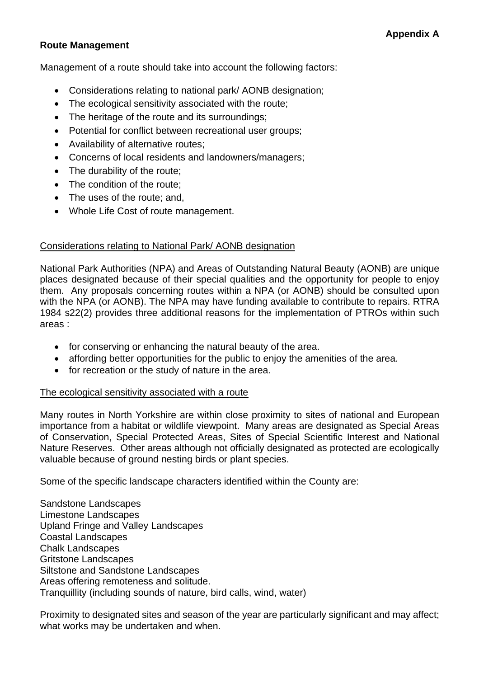#### **Route Management**

Management of a route should take into account the following factors:

- Considerations relating to national park/ AONB designation;
- The ecological sensitivity associated with the route:
- The heritage of the route and its surroundings;
- Potential for conflict between recreational user groups;
- Availability of alternative routes;
- Concerns of local residents and landowners/managers;
- The durability of the route;
- The condition of the route:
- The uses of the route; and,
- Whole Life Cost of route management.

# Considerations relating to National Park/ AONB designation

National Park Authorities (NPA) and Areas of Outstanding Natural Beauty (AONB) are unique places designated because of their special qualities and the opportunity for people to enjoy them. Any proposals concerning routes within a NPA (or AONB) should be consulted upon with the NPA (or AONB). The NPA may have funding available to contribute to repairs. RTRA 1984 s22(2) provides three additional reasons for the implementation of PTROs within such areas :

- for conserving or enhancing the natural beauty of the area.
- affording better opportunities for the public to enjoy the amenities of the area.
- for recreation or the study of nature in the area.

#### The ecological sensitivity associated with a route

Many routes in North Yorkshire are within close proximity to sites of national and European importance from a habitat or wildlife viewpoint. Many areas are designated as Special Areas of Conservation, Special Protected Areas, Sites of Special Scientific Interest and National Nature Reserves. Other areas although not officially designated as protected are ecologically valuable because of ground nesting birds or plant species.

Some of the specific landscape characters identified within the County are:

Sandstone Landscapes Limestone Landscapes Upland Fringe and Valley Landscapes Coastal Landscapes Chalk Landscapes Gritstone Landscapes Siltstone and Sandstone Landscapes Areas offering remoteness and solitude. Tranquillity (including sounds of nature, bird calls, wind, water)

Proximity to designated sites and season of the year are particularly significant and may affect; what works may be undertaken and when.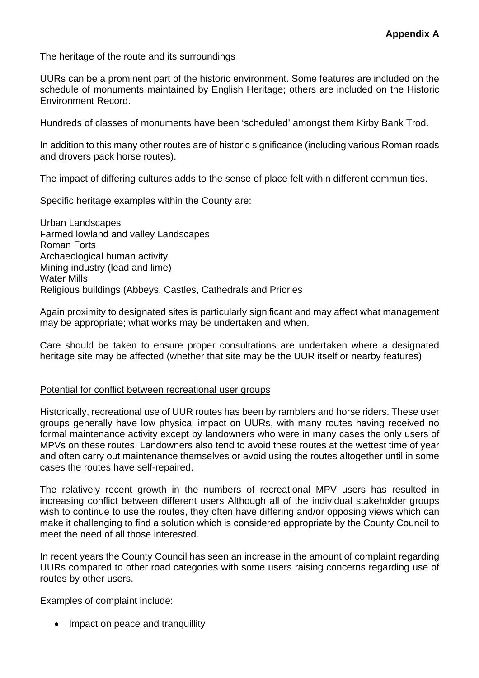#### The heritage of the route and its surroundings

UURs can be a prominent part of the historic environment. Some features are included on the schedule of monuments maintained by English Heritage; others are included on the Historic Environment Record.

Hundreds of classes of monuments have been 'scheduled' amongst them Kirby Bank Trod.

In addition to this many other routes are of historic significance (including various Roman roads and drovers pack horse routes).

The impact of differing cultures adds to the sense of place felt within different communities.

Specific heritage examples within the County are:

Urban Landscapes Farmed lowland and valley Landscapes Roman Forts Archaeological human activity Mining industry (lead and lime) Water Mills Religious buildings (Abbeys, Castles, Cathedrals and Priories

Again proximity to designated sites is particularly significant and may affect what management may be appropriate; what works may be undertaken and when.

Care should be taken to ensure proper consultations are undertaken where a designated heritage site may be affected (whether that site may be the UUR itself or nearby features)

#### Potential for conflict between recreational user groups

Historically, recreational use of UUR routes has been by ramblers and horse riders. These user groups generally have low physical impact on UURs, with many routes having received no formal maintenance activity except by landowners who were in many cases the only users of MPVs on these routes. Landowners also tend to avoid these routes at the wettest time of year and often carry out maintenance themselves or avoid using the routes altogether until in some cases the routes have self-repaired.

The relatively recent growth in the numbers of recreational MPV users has resulted in increasing conflict between different users Although all of the individual stakeholder groups wish to continue to use the routes, they often have differing and/or opposing views which can make it challenging to find a solution which is considered appropriate by the County Council to meet the need of all those interested.

In recent years the County Council has seen an increase in the amount of complaint regarding UURs compared to other road categories with some users raising concerns regarding use of routes by other users.

Examples of complaint include:

• Impact on peace and tranquillity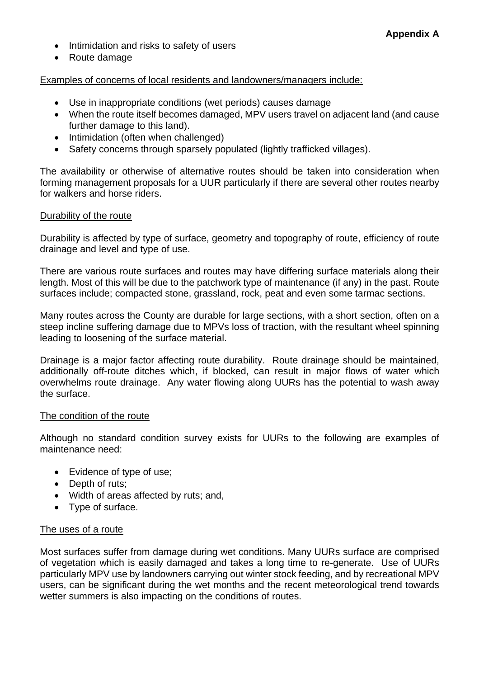- Intimidation and risks to safety of users
- Route damage

#### Examples of concerns of local residents and landowners/managers include:

- Use in inappropriate conditions (wet periods) causes damage
- When the route itself becomes damaged, MPV users travel on adjacent land (and cause further damage to this land).
- Intimidation (often when challenged)
- Safety concerns through sparsely populated (lightly trafficked villages).

The availability or otherwise of alternative routes should be taken into consideration when forming management proposals for a UUR particularly if there are several other routes nearby for walkers and horse riders.

#### Durability of the route

Durability is affected by type of surface, geometry and topography of route, efficiency of route drainage and level and type of use.

There are various route surfaces and routes may have differing surface materials along their length. Most of this will be due to the patchwork type of maintenance (if any) in the past. Route surfaces include; compacted stone, grassland, rock, peat and even some tarmac sections.

Many routes across the County are durable for large sections, with a short section, often on a steep incline suffering damage due to MPVs loss of traction, with the resultant wheel spinning leading to loosening of the surface material.

Drainage is a major factor affecting route durability. Route drainage should be maintained, additionally off-route ditches which, if blocked, can result in major flows of water which overwhelms route drainage. Any water flowing along UURs has the potential to wash away the surface.

#### The condition of the route

Although no standard condition survey exists for UURs to the following are examples of maintenance need:

- Evidence of type of use;
- Depth of ruts:
- Width of areas affected by ruts; and,
- Type of surface.

#### The uses of a route

Most surfaces suffer from damage during wet conditions. Many UURs surface are comprised of vegetation which is easily damaged and takes a long time to re-generate. Use of UURs particularly MPV use by landowners carrying out winter stock feeding, and by recreational MPV users, can be significant during the wet months and the recent meteorological trend towards wetter summers is also impacting on the conditions of routes.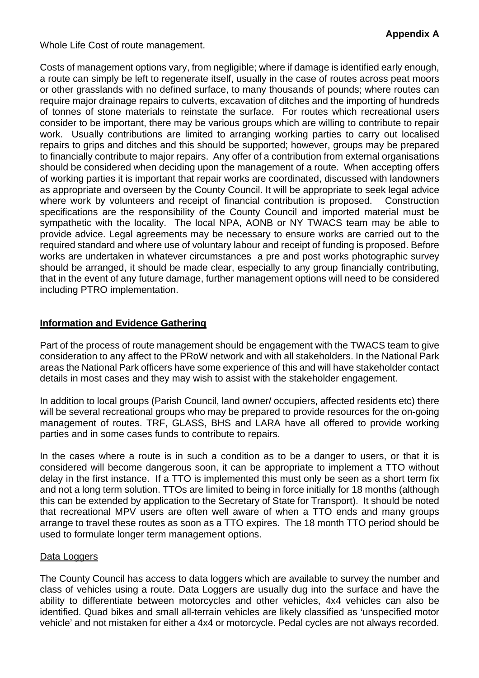#### Whole Life Cost of route management.

Costs of management options vary, from negligible; where if damage is identified early enough, a route can simply be left to regenerate itself, usually in the case of routes across peat moors or other grasslands with no defined surface, to many thousands of pounds; where routes can require major drainage repairs to culverts, excavation of ditches and the importing of hundreds of tonnes of stone materials to reinstate the surface. For routes which recreational users consider to be important, there may be various groups which are willing to contribute to repair work. Usually contributions are limited to arranging working parties to carry out localised repairs to grips and ditches and this should be supported; however, groups may be prepared to financially contribute to major repairs. Any offer of a contribution from external organisations should be considered when deciding upon the management of a route. When accepting offers of working parties it is important that repair works are coordinated, discussed with landowners as appropriate and overseen by the County Council. It will be appropriate to seek legal advice where work by volunteers and receipt of financial contribution is proposed. Construction specifications are the responsibility of the County Council and imported material must be sympathetic with the locality. The local NPA, AONB or NY TWACS team may be able to provide advice. Legal agreements may be necessary to ensure works are carried out to the required standard and where use of voluntary labour and receipt of funding is proposed. Before works are undertaken in whatever circumstances a pre and post works photographic survey should be arranged, it should be made clear, especially to any group financially contributing, that in the event of any future damage, further management options will need to be considered including PTRO implementation.

## **Information and Evidence Gathering**

Part of the process of route management should be engagement with the TWACS team to give consideration to any affect to the PRoW network and with all stakeholders. In the National Park areas the National Park officers have some experience of this and will have stakeholder contact details in most cases and they may wish to assist with the stakeholder engagement.

In addition to local groups (Parish Council, land owner/ occupiers, affected residents etc) there will be several recreational groups who may be prepared to provide resources for the on-going management of routes. TRF, GLASS, BHS and LARA have all offered to provide working parties and in some cases funds to contribute to repairs.

In the cases where a route is in such a condition as to be a danger to users, or that it is considered will become dangerous soon, it can be appropriate to implement a TTO without delay in the first instance. If a TTO is implemented this must only be seen as a short term fix and not a long term solution. TTOs are limited to being in force initially for 18 months (although this can be extended by application to the Secretary of State for Transport). It should be noted that recreational MPV users are often well aware of when a TTO ends and many groups arrange to travel these routes as soon as a TTO expires. The 18 month TTO period should be used to formulate longer term management options.

#### Data Loggers

The County Council has access to data loggers which are available to survey the number and class of vehicles using a route. Data Loggers are usually dug into the surface and have the ability to differentiate between motorcycles and other vehicles, 4x4 vehicles can also be identified. Quad bikes and small all-terrain vehicles are likely classified as 'unspecified motor vehicle' and not mistaken for either a 4x4 or motorcycle. Pedal cycles are not always recorded.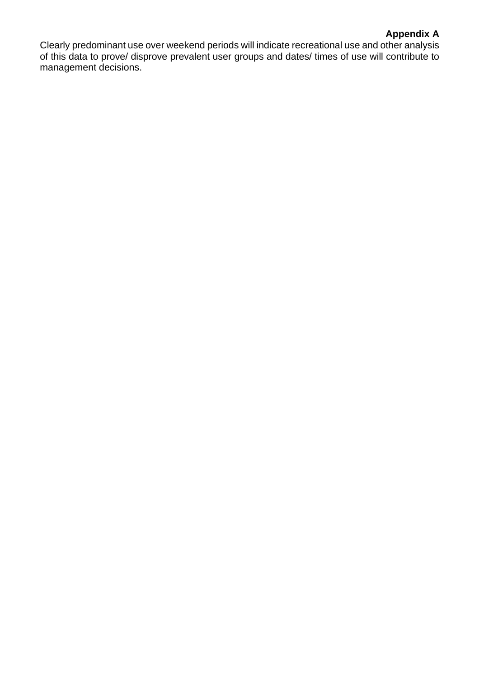# **Appendix A**

Clearly predominant use over weekend periods will indicate recreational use and other analysis of this data to prove/ disprove prevalent user groups and dates/ times of use will contribute to management decisions.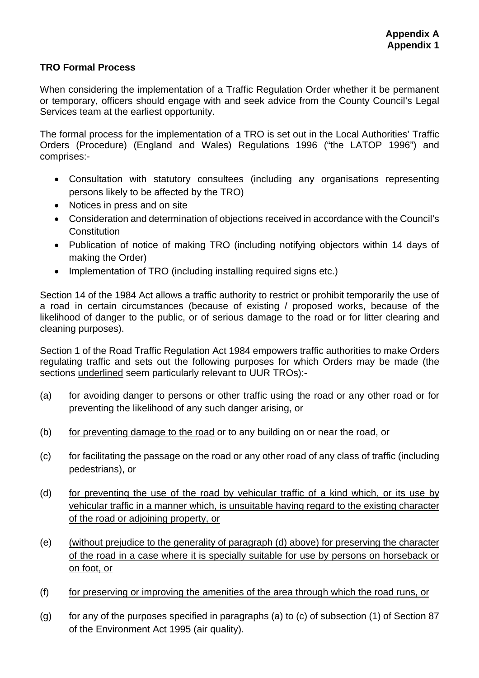# **TRO Formal Process**

When considering the implementation of a Traffic Regulation Order whether it be permanent or temporary, officers should engage with and seek advice from the County Council's Legal Services team at the earliest opportunity.

The formal process for the implementation of a TRO is set out in the Local Authorities' Traffic Orders (Procedure) (England and Wales) Regulations 1996 ("the LATOP 1996") and comprises:-

- Consultation with statutory consultees (including any organisations representing persons likely to be affected by the TRO)
- Notices in press and on site
- Consideration and determination of objections received in accordance with the Council's **Constitution**
- Publication of notice of making TRO (including notifying objectors within 14 days of making the Order)
- Implementation of TRO (including installing required signs etc.)

Section 14 of the 1984 Act allows a traffic authority to restrict or prohibit temporarily the use of a road in certain circumstances (because of existing / proposed works, because of the likelihood of danger to the public, or of serious damage to the road or for litter clearing and cleaning purposes).

Section 1 of the Road Traffic Regulation Act 1984 empowers traffic authorities to make Orders regulating traffic and sets out the following purposes for which Orders may be made (the sections underlined seem particularly relevant to UUR TROs):-

- (a) for avoiding danger to persons or other traffic using the road or any other road or for preventing the likelihood of any such danger arising, or
- (b) for preventing damage to the road or to any building on or near the road, or
- (c) for facilitating the passage on the road or any other road of any class of traffic (including pedestrians), or
- (d) for preventing the use of the road by vehicular traffic of a kind which, or its use by vehicular traffic in a manner which, is unsuitable having regard to the existing character of the road or adjoining property, or
- (e) (without prejudice to the generality of paragraph (d) above) for preserving the character of the road in a case where it is specially suitable for use by persons on horseback or on foot, or
- (f) for preserving or improving the amenities of the area through which the road runs, or
- (g) for any of the purposes specified in paragraphs (a) to (c) of subsection  $(1)$  of Section 87 of the Environment Act 1995 (air quality).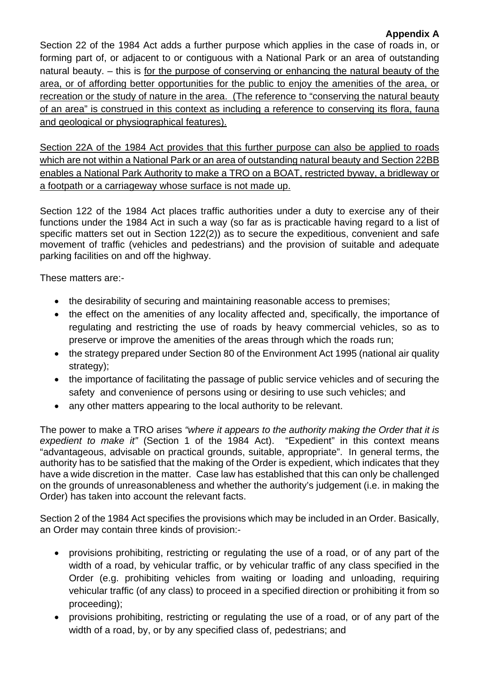# **Appendix A**

Section 22 of the 1984 Act adds a further purpose which applies in the case of roads in, or forming part of, or adjacent to or contiguous with a National Park or an area of outstanding natural beauty. – this is for the purpose of conserving or enhancing the natural beauty of the area, or of affording better opportunities for the public to enjoy the amenities of the area, or recreation or the study of nature in the area. (The reference to "conserving the natural beauty of an area" is construed in this context as including a reference to conserving its flora, fauna and geological or physiographical features).

Section 22A of the 1984 Act provides that this further purpose can also be applied to roads which are not within a National Park or an area of outstanding natural beauty and Section 22BB enables a National Park Authority to make a TRO on a BOAT, restricted byway, a bridleway or a footpath or a carriageway whose surface is not made up.

Section 122 of the 1984 Act places traffic authorities under a duty to exercise any of their functions under the 1984 Act in such a way (so far as is practicable having regard to a list of specific matters set out in Section 122(2)) as to secure the expeditious, convenient and safe movement of traffic (vehicles and pedestrians) and the provision of suitable and adequate parking facilities on and off the highway.

These matters are:-

- the desirability of securing and maintaining reasonable access to premises;
- the effect on the amenities of any locality affected and, specifically, the importance of regulating and restricting the use of roads by heavy commercial vehicles, so as to preserve or improve the amenities of the areas through which the roads run;
- the strategy prepared under Section 80 of the Environment Act 1995 (national air quality strategy);
- the importance of facilitating the passage of public service vehicles and of securing the safety and convenience of persons using or desiring to use such vehicles; and
- any other matters appearing to the local authority to be relevant.

The power to make a TRO arises *"where it appears to the authority making the Order that it is expedient to make it"* (Section 1 of the 1984 Act). "Expedient" in this context means "advantageous, advisable on practical grounds, suitable, appropriate". In general terms, the authority has to be satisfied that the making of the Order is expedient, which indicates that they have a wide discretion in the matter. Case law has established that this can only be challenged on the grounds of unreasonableness and whether the authority's judgement (i.e. in making the Order) has taken into account the relevant facts.

Section 2 of the 1984 Act specifies the provisions which may be included in an Order. Basically, an Order may contain three kinds of provision:-

- provisions prohibiting, restricting or regulating the use of a road, or of any part of the width of a road, by vehicular traffic, or by vehicular traffic of any class specified in the Order (e.g. prohibiting vehicles from waiting or loading and unloading, requiring vehicular traffic (of any class) to proceed in a specified direction or prohibiting it from so proceeding);
- provisions prohibiting, restricting or regulating the use of a road, or of any part of the width of a road, by, or by any specified class of, pedestrians; and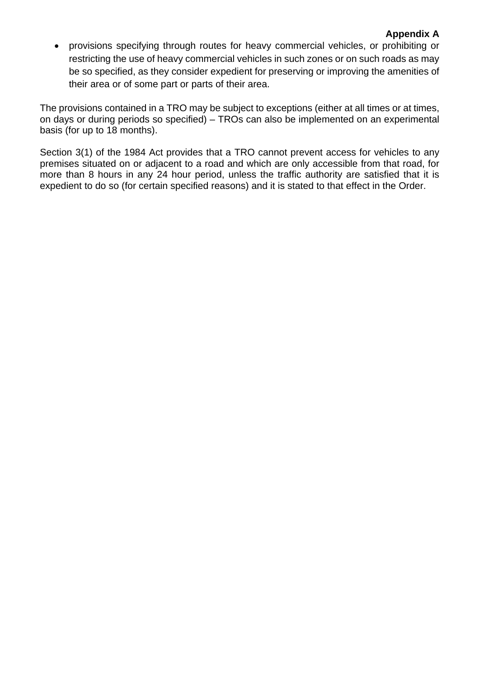# **Appendix A**

 provisions specifying through routes for heavy commercial vehicles, or prohibiting or restricting the use of heavy commercial vehicles in such zones or on such roads as may be so specified, as they consider expedient for preserving or improving the amenities of their area or of some part or parts of their area.

The provisions contained in a TRO may be subject to exceptions (either at all times or at times, on days or during periods so specified) – TROs can also be implemented on an experimental basis (for up to 18 months).

Section 3(1) of the 1984 Act provides that a TRO cannot prevent access for vehicles to any premises situated on or adjacent to a road and which are only accessible from that road, for more than 8 hours in any 24 hour period, unless the traffic authority are satisfied that it is expedient to do so (for certain specified reasons) and it is stated to that effect in the Order.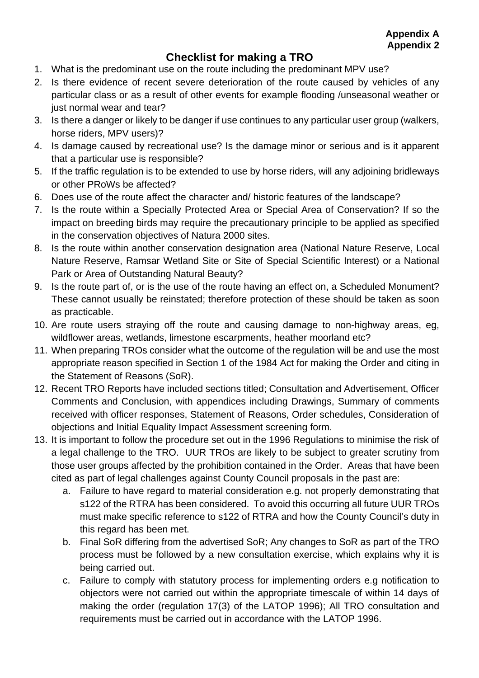# **Checklist for making a TRO**

- 1. What is the predominant use on the route including the predominant MPV use?
- 2. Is there evidence of recent severe deterioration of the route caused by vehicles of any particular class or as a result of other events for example flooding /unseasonal weather or just normal wear and tear?
- 3. Is there a danger or likely to be danger if use continues to any particular user group (walkers, horse riders, MPV users)?
- 4. Is damage caused by recreational use? Is the damage minor or serious and is it apparent that a particular use is responsible?
- 5. If the traffic regulation is to be extended to use by horse riders, will any adjoining bridleways or other PRoWs be affected?
- 6. Does use of the route affect the character and/ historic features of the landscape?
- 7. Is the route within a Specially Protected Area or Special Area of Conservation? If so the impact on breeding birds may require the precautionary principle to be applied as specified in the conservation objectives of Natura 2000 sites.
- 8. Is the route within another conservation designation area (National Nature Reserve, Local Nature Reserve, Ramsar Wetland Site or Site of Special Scientific Interest) or a National Park or Area of Outstanding Natural Beauty?
- 9. Is the route part of, or is the use of the route having an effect on, a Scheduled Monument? These cannot usually be reinstated; therefore protection of these should be taken as soon as practicable.
- 10. Are route users straying off the route and causing damage to non-highway areas, eg, wildflower areas, wetlands, limestone escarpments, heather moorland etc?
- 11. When preparing TROs consider what the outcome of the regulation will be and use the most appropriate reason specified in Section 1 of the 1984 Act for making the Order and citing in the Statement of Reasons (SoR).
- 12. Recent TRO Reports have included sections titled; Consultation and Advertisement, Officer Comments and Conclusion, with appendices including Drawings, Summary of comments received with officer responses, Statement of Reasons, Order schedules, Consideration of objections and Initial Equality Impact Assessment screening form.
- 13. It is important to follow the procedure set out in the 1996 Regulations to minimise the risk of a legal challenge to the TRO. UUR TROs are likely to be subject to greater scrutiny from those user groups affected by the prohibition contained in the Order. Areas that have been cited as part of legal challenges against County Council proposals in the past are:
	- a. Failure to have regard to material consideration e.g. not properly demonstrating that s122 of the RTRA has been considered. To avoid this occurring all future UUR TROs must make specific reference to s122 of RTRA and how the County Council's duty in this regard has been met.
	- b. Final SoR differing from the advertised SoR; Any changes to SoR as part of the TRO process must be followed by a new consultation exercise, which explains why it is being carried out.
	- c. Failure to comply with statutory process for implementing orders e.g notification to objectors were not carried out within the appropriate timescale of within 14 days of making the order (regulation 17(3) of the LATOP 1996); All TRO consultation and requirements must be carried out in accordance with the LATOP 1996.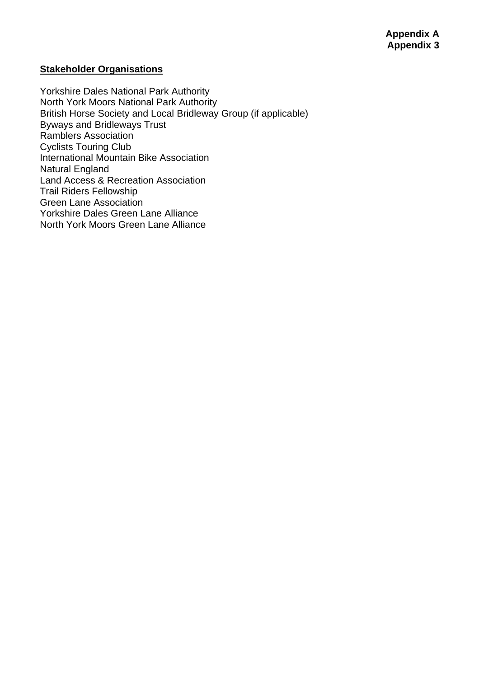## **Stakeholder Organisations**

Yorkshire Dales National Park Authority North York Moors National Park Authority British Horse Society and Local Bridleway Group (if applicable) Byways and Bridleways Trust Ramblers Association Cyclists Touring Club International Mountain Bike Association Natural England Land Access & Recreation Association Trail Riders Fellowship Green Lane Association Yorkshire Dales Green Lane Alliance North York Moors Green Lane Alliance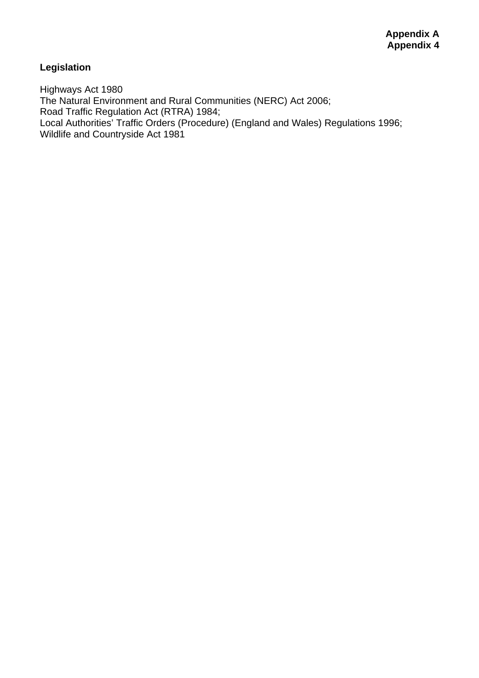# **Legislation**

Highways Act 1980 The Natural Environment and Rural Communities (NERC) Act 2006; Road Traffic Regulation Act (RTRA) 1984; Local Authorities' Traffic Orders (Procedure) (England and Wales) Regulations 1996; Wildlife and Countryside Act 1981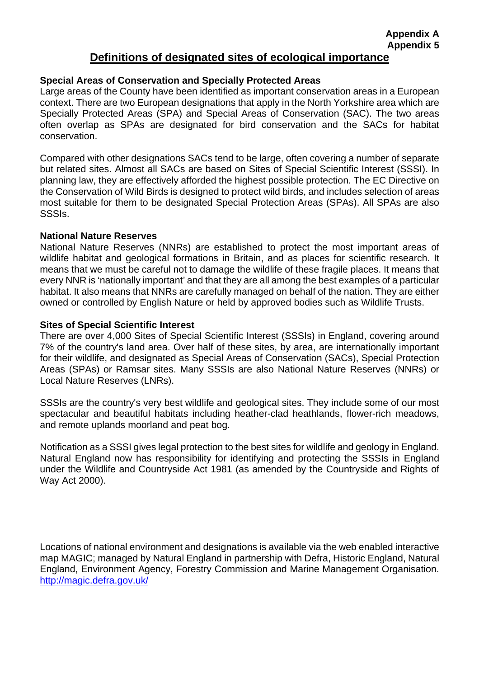#### **Special Areas of Conservation and Specially Protected Areas**

Large areas of the County have been identified as important conservation areas in a European context. There are two European designations that apply in the North Yorkshire area which are Specially Protected Areas (SPA) and Special Areas of Conservation (SAC). The two areas often overlap as SPAs are designated for bird conservation and the SACs for habitat conservation.

Compared with other designations SACs tend to be large, often covering a number of separate but related sites. Almost all SACs are based on Sites of Special Scientific Interest (SSSI). In planning law, they are effectively afforded the highest possible protection. The EC Directive on the Conservation of Wild Birds is designed to protect wild birds, and includes selection of areas most suitable for them to be designated Special Protection Areas (SPAs). All SPAs are also SSSIs.

#### **National Nature Reserves**

National Nature Reserves (NNRs) are established to protect the most important areas of wildlife habitat and geological formations in Britain, and as places for scientific research. It means that we must be careful not to damage the wildlife of these fragile places. It means that every NNR is 'nationally important' and that they are all among the best examples of a particular habitat. It also means that NNRs are carefully managed on behalf of the nation. They are either owned or controlled by English Nature or held by approved bodies such as Wildlife Trusts.

#### **Sites of Special Scientific Interest**

There are over 4,000 Sites of Special Scientific Interest (SSSIs) in England, covering around 7% of the country's land area. Over half of these sites, by area, are internationally important for their wildlife, and designated as Special Areas of Conservation (SACs), Special Protection Areas (SPAs) or Ramsar sites. Many SSSIs are also National Nature Reserves (NNRs) or Local Nature Reserves (LNRs).

SSSIs are the country's very best wildlife and geological sites. They include some of our most spectacular and beautiful habitats including heather-clad heathlands, flower-rich meadows, and remote uplands moorland and peat bog.

Notification as a SSSI gives legal protection to the best sites for wildlife and geology in England. Natural England now has responsibility for identifying and protecting the SSSIs in England under the Wildlife and Countryside Act 1981 (as amended by the Countryside and Rights of Way Act 2000).

Locations of national environment and designations is available via the web enabled interactive map MAGIC; managed by Natural England in partnership with Defra, Historic England, Natural England, Environment Agency, Forestry Commission and Marine Management Organisation. http://magic.defra.gov.uk/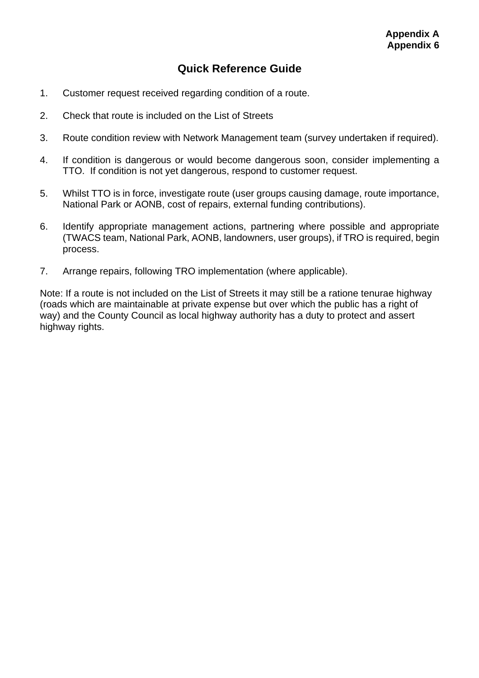# **Quick Reference Guide**

- 1. Customer request received regarding condition of a route.
- 2. Check that route is included on the List of Streets
- 3. Route condition review with Network Management team (survey undertaken if required).
- 4. If condition is dangerous or would become dangerous soon, consider implementing a TTO. If condition is not yet dangerous, respond to customer request.
- 5. Whilst TTO is in force, investigate route (user groups causing damage, route importance, National Park or AONB, cost of repairs, external funding contributions).
- 6. Identify appropriate management actions, partnering where possible and appropriate (TWACS team, National Park, AONB, landowners, user groups), if TRO is required, begin process.
- 7. Arrange repairs, following TRO implementation (where applicable).

Note: If a route is not included on the List of Streets it may still be a ratione tenurae highway (roads which are maintainable at private expense but over which the public has a right of way) and the County Council as local highway authority has a duty to protect and assert highway rights.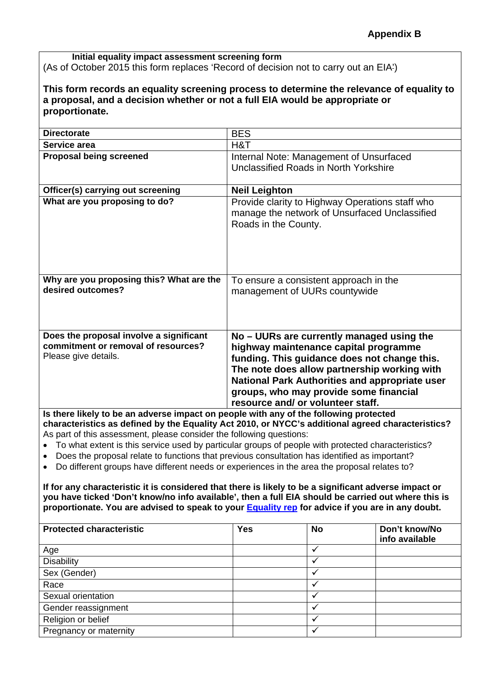**Initial equality impact assessment screening form**  (As of October 2015 this form replaces 'Record of decision not to carry out an EIA')

**This form records an equality screening process to determine the relevance of equality to a proposal, and a decision whether or not a full EIA would be appropriate or proportionate.** 

| <b>Directorate</b>                                                                    | <b>BES</b>                                            |  |  |  |  |
|---------------------------------------------------------------------------------------|-------------------------------------------------------|--|--|--|--|
| Service area                                                                          | H&T                                                   |  |  |  |  |
| <b>Proposal being screened</b>                                                        | Internal Note: Management of Unsurfaced               |  |  |  |  |
|                                                                                       | Unclassified Roads in North Yorkshire                 |  |  |  |  |
|                                                                                       |                                                       |  |  |  |  |
| Officer(s) carrying out screening                                                     | <b>Neil Leighton</b>                                  |  |  |  |  |
| What are you proposing to do?                                                         | Provide clarity to Highway Operations staff who       |  |  |  |  |
|                                                                                       | manage the network of Unsurfaced Unclassified         |  |  |  |  |
|                                                                                       | Roads in the County.                                  |  |  |  |  |
|                                                                                       |                                                       |  |  |  |  |
|                                                                                       |                                                       |  |  |  |  |
|                                                                                       |                                                       |  |  |  |  |
|                                                                                       |                                                       |  |  |  |  |
| Why are you proposing this? What are the                                              | To ensure a consistent approach in the                |  |  |  |  |
| desired outcomes?                                                                     | management of UURs countywide                         |  |  |  |  |
|                                                                                       |                                                       |  |  |  |  |
|                                                                                       |                                                       |  |  |  |  |
|                                                                                       |                                                       |  |  |  |  |
| Does the proposal involve a significant                                               | No - UURs are currently managed using the             |  |  |  |  |
| commitment or removal of resources?                                                   | highway maintenance capital programme                 |  |  |  |  |
| Please give details.                                                                  | funding. This guidance does not change this.          |  |  |  |  |
|                                                                                       | The note does allow partnership working with          |  |  |  |  |
|                                                                                       | <b>National Park Authorities and appropriate user</b> |  |  |  |  |
|                                                                                       | groups, who may provide some financial                |  |  |  |  |
|                                                                                       | resource and/ or volunteer staff.                     |  |  |  |  |
| Is there likely to be an adverse impact on people with any of the following protected |                                                       |  |  |  |  |

**characteristics as defined by the Equality Act 2010, or NYCC's additional agreed characteristics?**  As part of this assessment, please consider the following questions:

- To what extent is this service used by particular groups of people with protected characteristics?
- Does the proposal relate to functions that previous consultation has identified as important?
- Do different groups have different needs or experiences in the area the proposal relates to?

**If for any characteristic it is considered that there is likely to be a significant adverse impact or you have ticked 'Don't know/no info available', then a full EIA should be carried out where this is proportionate. You are advised to speak to your Equality rep for advice if you are in any doubt.** 

| <b>Protected characteristic</b> | Yes | <b>No</b> | Don't know/No<br>info available |
|---------------------------------|-----|-----------|---------------------------------|
| Age                             |     |           |                                 |
| <b>Disability</b>               |     |           |                                 |
| Sex (Gender)                    |     |           |                                 |
| Race                            |     |           |                                 |
| Sexual orientation              |     |           |                                 |
| Gender reassignment             |     |           |                                 |
| Religion or belief              |     |           |                                 |
| Pregnancy or maternity          |     |           |                                 |